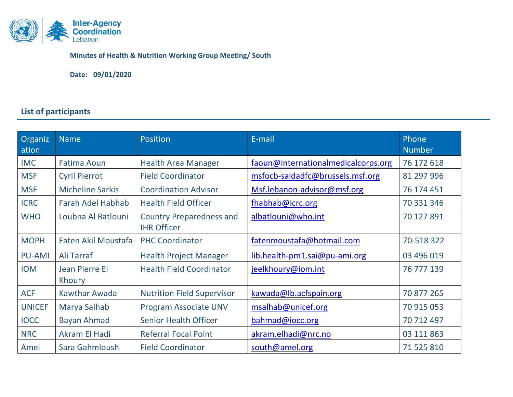

**Minutes of Health & Nutrition Working Group Meeting/ South**

**Date: 09/01/2020**

# **List of participants**

| Organiz<br>ation | <b>Name</b>                | Position                                              | E-mail                              | Phone<br><b>Number</b> |
|------------------|----------------------------|-------------------------------------------------------|-------------------------------------|------------------------|
| <b>IMC</b>       | <b>Fatima Aoun</b>         | <b>Health Area Manager</b>                            | faoun@internationalmedicalcorps.org | 76 172 618             |
| <b>MSF</b>       | <b>Cyril Pierrot</b>       | <b>Field Coordinator</b>                              | msfocb-saidadfc@brussels.msf.org    | 81 297 996             |
| <b>MSF</b>       | <b>Micheline Sarkis</b>    | <b>Coordination Advisor</b>                           | Msf.lebanon-advisor@msf.org         | 76 174 451             |
| <b>ICRC</b>      | <b>Farah Adel Habhab</b>   | <b>Health Field Officer</b>                           | fhabhab@icrc.org                    | 70 331 346             |
| <b>WHO</b>       | Loubna Al Batlouni         | <b>Country Preparedness and</b><br><b>IHR Officer</b> | albatlouni@who.int                  | 70 127 891             |
| <b>MOPH</b>      | <b>Faten Akil Moustafa</b> | <b>PHC Coordinator</b>                                | fatenmoustafa@hotmail.com           | 70-518 322             |
| <b>PU-AMI</b>    | Ali Tarraf                 | <b>Health Project Manager</b>                         | lib.health-pm1.sai@pu-ami.org       | 03 496 019             |
| <b>IOM</b>       | Jean Pierre El<br>Khoury   | <b>Health Field Coordinator</b>                       | jeelkhoury@iom.int                  | 76 777 139             |
| <b>ACF</b>       | <b>Kawthar Awada</b>       | <b>Nutrition Field Supervisor</b>                     | kawada@lb.acfspain.org              | 70 877 265             |
| <b>UNICEF</b>    | Marya Salhab               | <b>Program Associate UNV</b>                          | msalhab@unicef.org                  | 70 915 053             |
| <b>IOCC</b>      | <b>Bayan Ahmad</b>         | <b>Senior Health Officer</b>                          | bahmad@iocc.org                     | 70 712 497             |
| <b>NRC</b>       | <b>Akram El Hadi</b>       | <b>Referral Focal Point</b>                           | akram.elhadi@nrc.no                 | 03 111 863             |
| Amel             | Sara Gahmloush             | <b>Field Coordinator</b>                              | south@amel.org                      | 71 525 810             |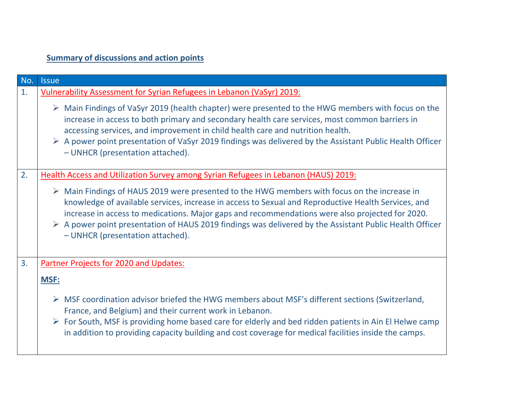# **Summary of discussions and action points**

| No. | <b>Issue</b>                                                                                                                                                                                                                                                                                                                                                                                                                                                                        |  |  |  |
|-----|-------------------------------------------------------------------------------------------------------------------------------------------------------------------------------------------------------------------------------------------------------------------------------------------------------------------------------------------------------------------------------------------------------------------------------------------------------------------------------------|--|--|--|
| 1.  | <b>Vulnerability Assessment for Syrian Refugees in Lebanon (VaSyr) 2019:</b>                                                                                                                                                                                                                                                                                                                                                                                                        |  |  |  |
|     | $\triangleright$ Main Findings of VaSyr 2019 (health chapter) were presented to the HWG members with focus on the<br>increase in access to both primary and secondary health care services, most common barriers in<br>accessing services, and improvement in child health care and nutrition health.<br>$\triangleright$ A power point presentation of VaSyr 2019 findings was delivered by the Assistant Public Health Officer<br>- UNHCR (presentation attached).                |  |  |  |
| 2.  | Health Access and Utilization Survey among Syrian Refugees in Lebanon (HAUS) 2019:                                                                                                                                                                                                                                                                                                                                                                                                  |  |  |  |
|     | $\triangleright$ Main Findings of HAUS 2019 were presented to the HWG members with focus on the increase in<br>knowledge of available services, increase in access to Sexual and Reproductive Health Services, and<br>increase in access to medications. Major gaps and recommendations were also projected for 2020.<br>$\triangleright$ A power point presentation of HAUS 2019 findings was delivered by the Assistant Public Health Officer<br>- UNHCR (presentation attached). |  |  |  |
| 3.  | Partner Projects for 2020 and Updates:                                                                                                                                                                                                                                                                                                                                                                                                                                              |  |  |  |
|     | <b>MSF:</b>                                                                                                                                                                                                                                                                                                                                                                                                                                                                         |  |  |  |
|     | $\triangleright$ MSF coordination advisor briefed the HWG members about MSF's different sections (Switzerland,<br>France, and Belgium) and their current work in Lebanon.<br>$\triangleright$ For South, MSF is providing home based care for elderly and bed ridden patients in Ain El Helwe camp<br>in addition to providing capacity building and cost coverage for medical facilities inside the camps.                                                                         |  |  |  |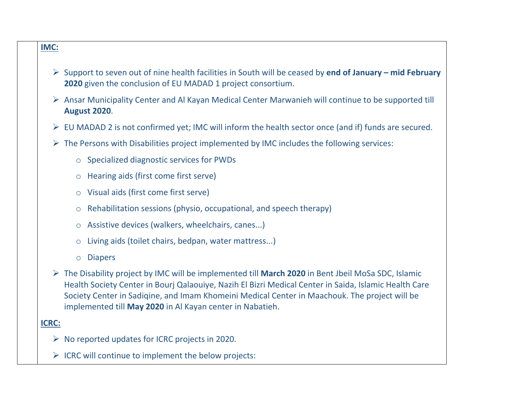### **IMC:**

- ➢ Support to seven out of nine health facilities in South will be ceased by **end of January – mid February 2020** given the conclusion of EU MADAD 1 project consortium.
- ➢ Ansar Municipality Center and Al Kayan Medical Center Marwanieh will continue to be supported till **August 2020**.
- ➢ EU MADAD 2 is not confirmed yet; IMC will inform the health sector once (and if) funds are secured.
- $\triangleright$  The Persons with Disabilities project implemented by IMC includes the following services:
	- o Specialized diagnostic services for PWDs
	- o Hearing aids (first come first serve)
	- o Visual aids (first come first serve)
	- o Rehabilitation sessions (physio, occupational, and speech therapy)
	- o Assistive devices (walkers, wheelchairs, canes...)
	- o Living aids (toilet chairs, bedpan, water mattress...)
	- o Diapers
- ➢ The Disability project by IMC will be implemented till **March 2020** in Bent Jbeil MoSa SDC, Islamic Health Society Center in Bourj Qalaouiye, Nazih El Bizri Medical Center in Saida, Islamic Health Care Society Center in Sadiqine, and Imam Khomeini Medical Center in Maachouk. The project will be implemented till **May 2020** in Al Kayan center in Nabatieh.

### **ICRC:**

- $\triangleright$  No reported updates for ICRC projects in 2020.
- $\triangleright$  ICRC will continue to implement the below projects: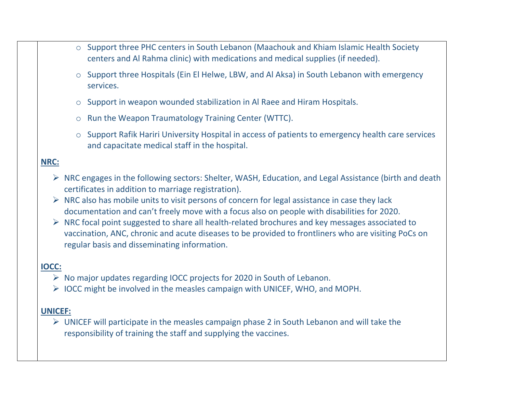- o Support three PHC centers in South Lebanon (Maachouk and Khiam Islamic Health Society centers and Al Rahma clinic) with medications and medical supplies (if needed).
- o Support three Hospitals (Ein El Helwe, LBW, and Al Aksa) in South Lebanon with emergency services.
- o Support in weapon wounded stabilization in Al Raee and Hiram Hospitals.
- o Run the Weapon Traumatology Training Center (WTTC).
- o Support Rafik Hariri University Hospital in access of patients to emergency health care services and capacitate medical staff in the hospital.

### **NRC:**

- ➢ NRC engages in the following sectors: Shelter, WASH, Education, and Legal Assistance (birth and death certificates in addition to marriage registration).
- $\triangleright$  NRC also has mobile units to visit persons of concern for legal assistance in case they lack documentation and can't freely move with a focus also on people with disabilities for 2020.
- ➢ NRC focal point suggested to share all health-related brochures and key messages associated to vaccination, ANC, chronic and acute diseases to be provided to frontliners who are visiting PoCs on regular basis and disseminating information.

## **IOCC:**

- ➢ No major updates regarding IOCC projects for 2020 in South of Lebanon.
- ➢ IOCC might be involved in the measles campaign with UNICEF, WHO, and MOPH.

## **UNICEF:**

 $\triangleright$  UNICEF will participate in the measles campaign phase 2 in South Lebanon and will take the responsibility of training the staff and supplying the vaccines.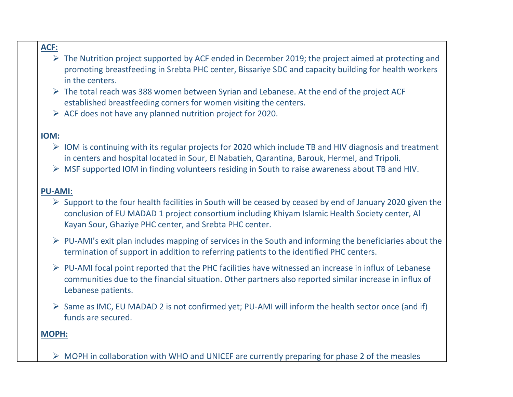## **ACF:**

- $\triangleright$  The Nutrition project supported by ACF ended in December 2019; the project aimed at protecting and promoting breastfeeding in Srebta PHC center, Bissariye SDC and capacity building for health workers in the centers.
- $\triangleright$  The total reach was 388 women between Syrian and Lebanese. At the end of the project ACF established breastfeeding corners for women visiting the centers.
- ➢ ACF does not have any planned nutrition project for 2020.

## **IOM:**

- ➢ IOM is continuing with its regular projects for 2020 which include TB and HIV diagnosis and treatment in centers and hospital located in Sour, El Nabatieh, Qarantina, Barouk, Hermel, and Tripoli.
- ➢ MSF supported IOM in finding volunteers residing in South to raise awareness about TB and HIV.

### **PU-AMI:**

- $\triangleright$  Support to the four health facilities in South will be ceased by ceased by end of January 2020 given the conclusion of EU MADAD 1 project consortium including Khiyam Islamic Health Society center, Al Kayan Sour, Ghaziye PHC center, and Srebta PHC center.
- ➢ PU-AMI's exit plan includes mapping of services in the South and informing the beneficiaries about the termination of support in addition to referring patients to the identified PHC centers.
- ➢ PU-AMI focal point reported that the PHC facilities have witnessed an increase in influx of Lebanese communities due to the financial situation. Other partners also reported similar increase in influx of Lebanese patients.
- ➢ Same as IMC, EU MADAD 2 is not confirmed yet; PU-AMI will inform the health sector once (and if) funds are secured.

### **MOPH:**

 $\triangleright$  MOPH in collaboration with WHO and UNICEF are currently preparing for phase 2 of the measles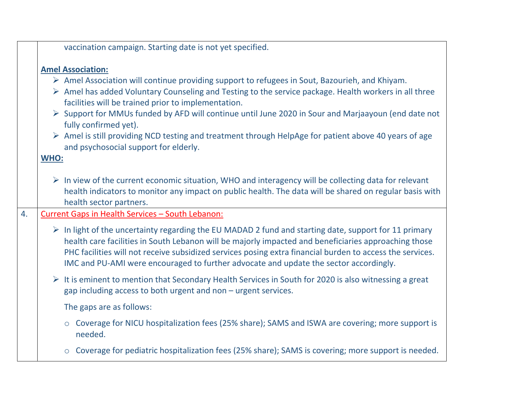|    | vaccination campaign. Starting date is not yet specified.                                                                                                                                                                                                                                                                                                                                                                                                                                                                                                                                                                       |
|----|---------------------------------------------------------------------------------------------------------------------------------------------------------------------------------------------------------------------------------------------------------------------------------------------------------------------------------------------------------------------------------------------------------------------------------------------------------------------------------------------------------------------------------------------------------------------------------------------------------------------------------|
|    | <b>Amel Association:</b><br>$\triangleright$ Amel Association will continue providing support to refugees in Sout, Bazourieh, and Khiyam.<br>$\triangleright$ Amel has added Voluntary Counseling and Testing to the service package. Health workers in all three<br>facilities will be trained prior to implementation.<br>Support for MMUs funded by AFD will continue until June 2020 in Sour and Marjaayoun (end date not<br>fully confirmed yet).<br>$\triangleright$ Amel is still providing NCD testing and treatment through HelpAge for patient above 40 years of age<br>and psychosocial support for elderly.<br>WHO: |
|    | $\triangleright$ In view of the current economic situation, WHO and interagency will be collecting data for relevant<br>health indicators to monitor any impact on public health. The data will be shared on regular basis with<br>health sector partners.                                                                                                                                                                                                                                                                                                                                                                      |
| 4. | Current Gaps in Health Services - South Lebanon:                                                                                                                                                                                                                                                                                                                                                                                                                                                                                                                                                                                |
|    | $\triangleright$ In light of the uncertainty regarding the EU MADAD 2 fund and starting date, support for 11 primary<br>health care facilities in South Lebanon will be majorly impacted and beneficiaries approaching those<br>PHC facilities will not receive subsidized services posing extra financial burden to access the services.<br>IMC and PU-AMI were encouraged to further advocate and update the sector accordingly.                                                                                                                                                                                              |
|    | $\triangleright$ It is eminent to mention that Secondary Health Services in South for 2020 is also witnessing a great<br>gap including access to both urgent and non - urgent services.                                                                                                                                                                                                                                                                                                                                                                                                                                         |
|    | The gaps are as follows:                                                                                                                                                                                                                                                                                                                                                                                                                                                                                                                                                                                                        |
|    | ○ Coverage for NICU hospitalization fees (25% share); SAMS and ISWA are covering; more support is<br>needed.                                                                                                                                                                                                                                                                                                                                                                                                                                                                                                                    |
|    | Coverage for pediatric hospitalization fees (25% share); SAMS is covering; more support is needed.<br>$\circ$                                                                                                                                                                                                                                                                                                                                                                                                                                                                                                                   |
|    |                                                                                                                                                                                                                                                                                                                                                                                                                                                                                                                                                                                                                                 |